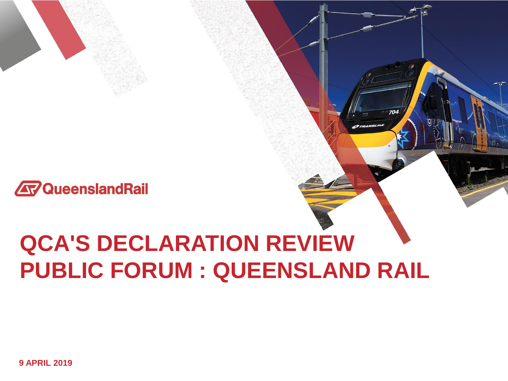

# **QCA'S DECLARATION REVIEW PUBLIC FORUM : QUEENSLAND RAIL**

**9 APRIL 2019**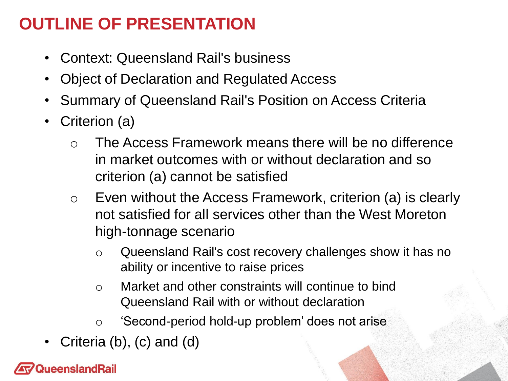# **OUTLINE OF PRESENTATION**

- Context: Queensland Rail's business
- Object of Declaration and Regulated Access
- Summary of Queensland Rail's Position on Access Criteria
- Criterion (a)
	- o The Access Framework means there will be no difference in market outcomes with or without declaration and so criterion (a) cannot be satisfied
	- o Even without the Access Framework, criterion (a) is clearly not satisfied for all services other than the West Moreton high-tonnage scenario
		- o Queensland Rail's cost recovery challenges show it has no ability or incentive to raise prices
		- o Market and other constraints will continue to bind Queensland Rail with or without declaration
		- o 'Second-period hold-up problem' does not arise
- Criteria (b), (c) and (d)

### ueenslandRail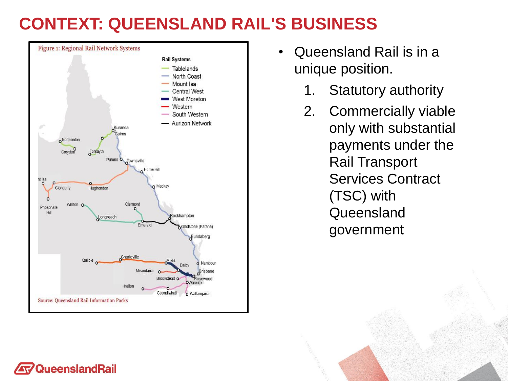# **CONTEXT: QUEENSLAND RAIL'S BUSINESS**



- Queensland Rail is in a unique position.
	- 1. Statutory authority
	- 2. Commercially viable only with substantial payments under the Rail Transport Services Contract (TSC) with Queensland government

#### **AV QueenslandRail**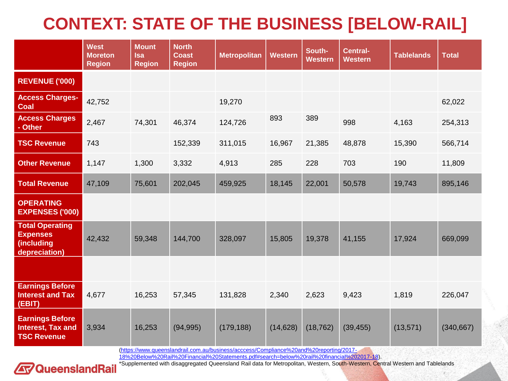# **CONTEXT: STATE OF THE BUSINESS [BELOW-RAIL]**

|                                                                          | <b>West</b><br><b>Moreton</b><br><b>Region</b> | <b>Mount</b><br><b>Isa</b><br><b>Region</b> | <b>North</b><br><b>Coast</b><br><b>Region</b> | <b>Metropolitan</b> | <b>Western</b> | South-<br><b>Western</b> | <b>Central-</b><br><b>Western</b> | <b>Tablelands</b> | <b>Total</b> |
|--------------------------------------------------------------------------|------------------------------------------------|---------------------------------------------|-----------------------------------------------|---------------------|----------------|--------------------------|-----------------------------------|-------------------|--------------|
| <b>REVENUE ('000)</b>                                                    |                                                |                                             |                                               |                     |                |                          |                                   |                   |              |
| <b>Access Charges-</b><br><b>Coal</b>                                    | 42,752                                         |                                             |                                               | 19,270              |                |                          |                                   |                   | 62,022       |
| <b>Access Charges</b><br>- Other                                         | 2,467                                          | 74,301                                      | 46,374                                        | 124,726             | 893            | 389                      | 998                               | 4,163             | 254,313      |
| <b>TSC Revenue</b>                                                       | 743                                            |                                             | 152,339                                       | 311,015             | 16,967         | 21,385                   | 48,878                            | 15,390            | 566,714      |
| <b>Other Revenue</b>                                                     | 1,147                                          | 1,300                                       | 3,332                                         | 4,913               | 285            | 228                      | 703                               | 190               | 11,809       |
| <b>Total Revenue</b>                                                     | 47,109                                         | 75,601                                      | 202,045                                       | 459,925             | 18,145         | 22,001                   | 50,578                            | 19,743            | 895,146      |
| <b>OPERATING</b><br><b>EXPENSES ('000)</b>                               |                                                |                                             |                                               |                     |                |                          |                                   |                   |              |
| <b>Total Operating</b><br><b>Expenses</b><br>(including<br>depreciation) | 42,432                                         | 59,348                                      | 144,700                                       | 328,097             | 15,805         | 19,378                   | 41,155                            | 17,924            | 669,099      |
|                                                                          |                                                |                                             |                                               |                     |                |                          |                                   |                   |              |
| <b>Earnings Before</b><br><b>Interest and Tax</b><br>(EBIT)              | 4,677                                          | 16,253                                      | 57,345                                        | 131,828             | 2,340          | 2,623                    | 9,423                             | 1,819             | 226,047      |
| <b>Earnings Before</b><br><b>Interest, Tax and</b><br><b>TSC Revenue</b> | 3,934                                          | 16,253                                      | (94, 995)                                     | (179, 188)          | (14, 628)      | (18, 762)                | (39, 455)                         | (13, 571)         | (340, 667)   |

(https://www.queenslandrail.com.au/business/acccess/Compliance%20and%20reporting/2017-

[18%20Below%20Rail%20Financial%20Statements.pdf#search=below%20rail%20financial%202017-18](https://www.queenslandrail.com.au/business/acccess/Compliance%20and%20reporting/2017-18%20Below%20Rail%20Financial%20Statements.pdf#search=below%20rail%20financial%202017-18)).



\*Supplemented with disaggregated Queensland Rail data for Metropolitan, Western, South-Western, Central Western and Tablelands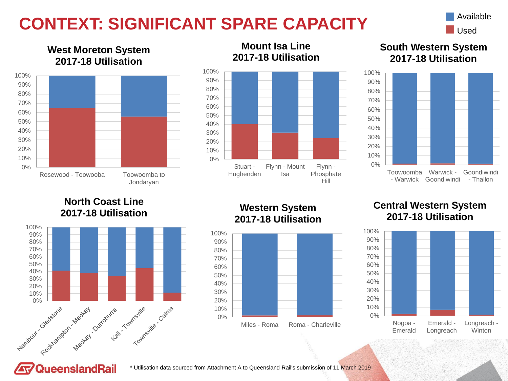# **CONTEXT: SIGNIFICANT SPARE CAPACITY**



#### **West Moreton System 2017-18 Utilisation**



#### **Mount Isa Line 2017-18 Utilisation**



#### **South Western System 2017-18 Utilisation**



**North Coast Line 2017-18 Utilisation**



**QueenslandRail** 

#### **Western System 2017-18 Utilisation**



#### **Central Western System 2017-18 Utilisation**

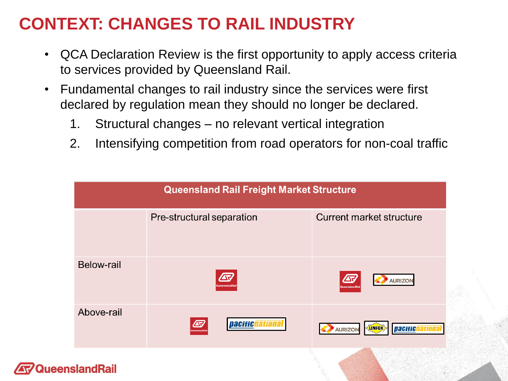# **CONTEXT: CHANGES TO RAIL INDUSTRY**

- QCA Declaration Review is the first opportunity to apply access criteria to services provided by Queensland Rail.
- Fundamental changes to rail industry since the services were first declared by regulation mean they should no longer be declared.
	- 1. Structural changes no relevant vertical integration
	- 2. Intensifying competition from road operators for non-coal traffic



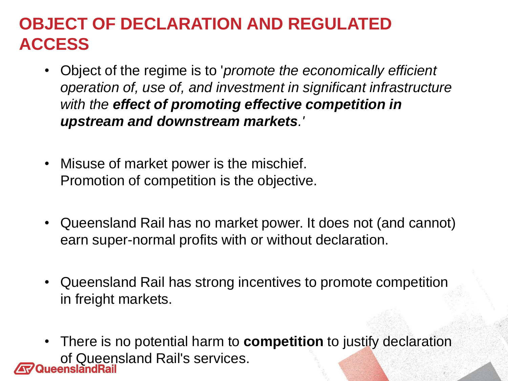## **OBJECT OF DECLARATION AND REGULATED ACCESS**

- Object of the regime is to '*promote the economically efficient operation of, use of, and investment in significant infrastructure with the effect of promoting effective competition in upstream and downstream markets.'*
- Misuse of market power is the mischief. Promotion of competition is the objective.
- Queensland Rail has no market power. It does not (and cannot) earn super-normal profits with or without declaration.
- Queensland Rail has strong incentives to promote competition in freight markets.
- There is no potential harm to **competition** to justify declaration of Queensland Rail's services.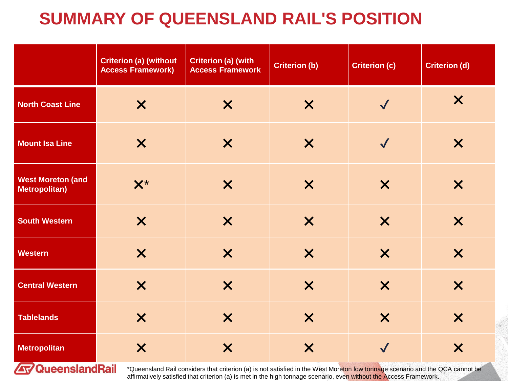### **SUMMARY OF QUEENSLAND RAIL'S POSITION**

|                                                  | <b>Criterion (a) (without</b><br><b>Access Framework)</b> | <b>Criterion (a) (with</b><br><b>Access Framework</b> | <b>Criterion (b)</b>      | <b>Criterion (c)</b>      | <b>Criterion (d)</b>      |
|--------------------------------------------------|-----------------------------------------------------------|-------------------------------------------------------|---------------------------|---------------------------|---------------------------|
| <b>North Coast Line</b>                          | $\boldsymbol{\mathsf{X}}$                                 | $\boldsymbol{\mathsf{X}}$                             | $\boldsymbol{\mathsf{X}}$ | $\sqrt{}$                 | $\boldsymbol{\mathsf{X}}$ |
| <b>Mount Isa Line</b>                            | $\boldsymbol{\mathsf{X}}$                                 | $\boldsymbol{\mathsf{X}}$                             | $\boldsymbol{\mathsf{X}}$ | $\sqrt{}$                 | $\boldsymbol{\mathsf{X}}$ |
| <b>West Moreton (and</b><br><b>Metropolitan)</b> | $X^*$                                                     | $\boldsymbol{\mathsf{X}}$                             | $\boldsymbol{\mathsf{X}}$ | $\boldsymbol{\mathsf{X}}$ | $\boldsymbol{\mathsf{X}}$ |
| <b>South Western</b>                             | $\boldsymbol{\mathsf{x}}$                                 | $\boldsymbol{\mathsf{X}}$                             | $\boldsymbol{\mathsf{X}}$ | $\boldsymbol{\mathsf{X}}$ | $\boldsymbol{\mathsf{X}}$ |
| <b>Western</b>                                   | $\boldsymbol{\mathsf{x}}$                                 | $\boldsymbol{\mathsf{X}}$                             | $\boldsymbol{\mathsf{X}}$ | $\boldsymbol{\mathsf{X}}$ | $\boldsymbol{\mathsf{X}}$ |
| <b>Central Western</b>                           | $\boldsymbol{\mathsf{X}}$                                 | $\boldsymbol{\mathsf{X}}$                             | $\boldsymbol{\mathsf{X}}$ | $\boldsymbol{\mathsf{X}}$ | $\boldsymbol{\mathsf{X}}$ |
| <b>Tablelands</b>                                | $\boldsymbol{\mathsf{x}}$                                 | $\boldsymbol{\mathsf{X}}$                             | $\boldsymbol{\mathsf{X}}$ | $\boldsymbol{\mathsf{x}}$ | $\boldsymbol{\mathsf{X}}$ |
| <b>Metropolitan</b>                              | $\boldsymbol{\mathsf{x}}$                                 | $\boldsymbol{\mathsf{X}}$                             | $\boldsymbol{\mathsf{X}}$ | $\checkmark$              | $\boldsymbol{\mathsf{X}}$ |

**47 Queensland Rail** 

\*Queensland Rail considers that criterion (a) is not satisfied in the West Moreton low tonnage scenario and the QCA cannot be affirmatively satisfied that criterion (a) is met in the high tonnage scenario, even without the Access Framework.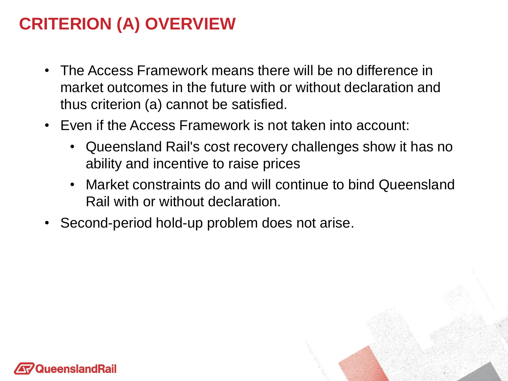# **CRITERION (A) OVERVIEW**

- The Access Framework means there will be no difference in market outcomes in the future with or without declaration and thus criterion (a) cannot be satisfied.
- Even if the Access Framework is not taken into account:
	- Queensland Rail's cost recovery challenges show it has no ability and incentive to raise prices
	- Market constraints do and will continue to bind Queensland Rail with or without declaration.
- Second-period hold-up problem does not arise.

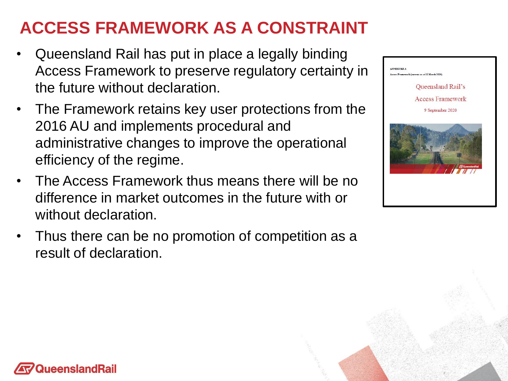# **ACCESS FRAMEWORK AS A CONSTRAINT**

- Queensland Rail has put in place a legally binding Access Framework to preserve regulatory certainty in the future without declaration.
- The Framework retains key user protections from the 2016 AU and implements procedural and administrative changes to improve the operational efficiency of the regime.
- The Access Framework thus means there will be no difference in market outcomes in the future with or without declaration.
- Thus there can be no promotion of competition as a result of declaration.



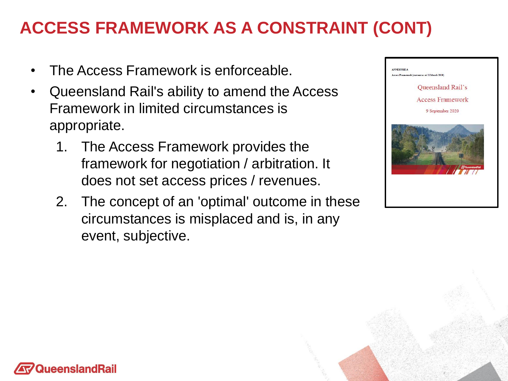# **ACCESS FRAMEWORK AS A CONSTRAINT (CONT)**

- The Access Framework is enforceable.
- Queensland Rail's ability to amend the Access Framework in limited circumstances is appropriate.
	- 1. The Access Framework provides the framework for negotiation / arbitration. It does not set access prices / revenues.
	- 2. The concept of an 'optimal' outcome in these circumstances is misplaced and is, in any event, subjective.



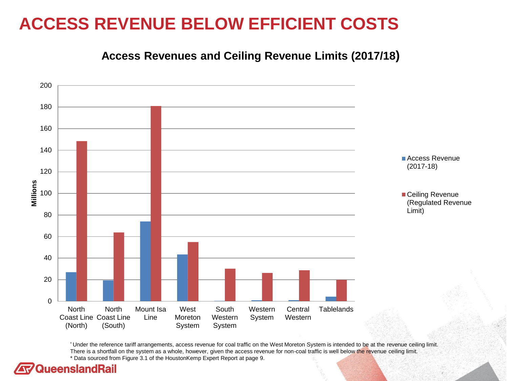### **ACCESS REVENUE BELOW EFFICIENT COSTS**

**Access Revenues and Ceiling Revenue Limits (2017/18)**



\* Under the reference tariff arrangements, access revenue for coal traffic on the West Moreton System is intended to be at the revenue ceiling limit. There is a shortfall on the system as a whole, however, given the access revenue for non-coal traffic is well below the revenue ceiling limit. \* Data sourced from Figure 3.1 of the HoustonKemp Expert Report at page 9.

**AV** QueenslandRail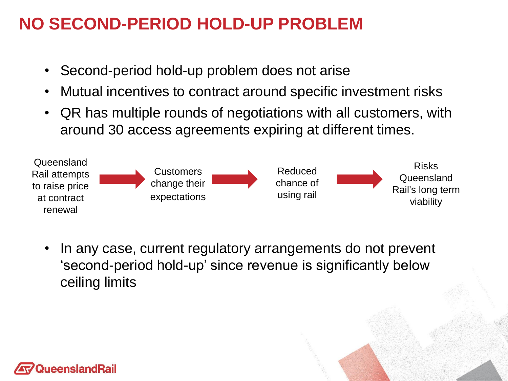# **NO SECOND-PERIOD HOLD-UP PROBLEM**

- Second-period hold-up problem does not arise
- Mutual incentives to contract around specific investment risks
- QR has multiple rounds of negotiations with all customers, with around 30 access agreements expiring at different times.



• In any case, current regulatory arrangements do not prevent 'second-period hold-up' since revenue is significantly below ceiling limits

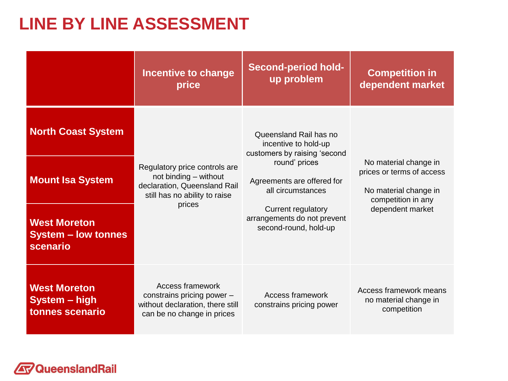### **LINE BY LINE ASSESSMENT**

|                                                               | Incentive to change<br>price                                                                                            | <b>Second-period hold-</b><br>up problem                                          | <b>Competition in</b><br>dependent market                                                                             |  |
|---------------------------------------------------------------|-------------------------------------------------------------------------------------------------------------------------|-----------------------------------------------------------------------------------|-----------------------------------------------------------------------------------------------------------------------|--|
| <b>North Coast System</b>                                     |                                                                                                                         | Queensland Rail has no<br>incentive to hold-up<br>customers by raising 'second    | No material change in<br>prices or terms of access<br>No material change in<br>competition in any<br>dependent market |  |
| <b>Mount Isa System</b>                                       | Regulatory price controls are<br>not binding - without<br>declaration, Queensland Rail<br>still has no ability to raise | round' prices<br>Agreements are offered for<br>all circumstances                  |                                                                                                                       |  |
| <b>West Moreton</b><br><b>System - low tonnes</b><br>scenario | prices                                                                                                                  | <b>Current regulatory</b><br>arrangements do not prevent<br>second-round, hold-up |                                                                                                                       |  |
| <b>West Moreton</b><br>System - high<br>tonnes scenario       | <b>Access framework</b><br>constrains pricing power -<br>without declaration, there still<br>can be no change in prices | <b>Access framework</b><br>constrains pricing power                               | Access framework means<br>no material change in<br>competition                                                        |  |

**47** Queensland Rail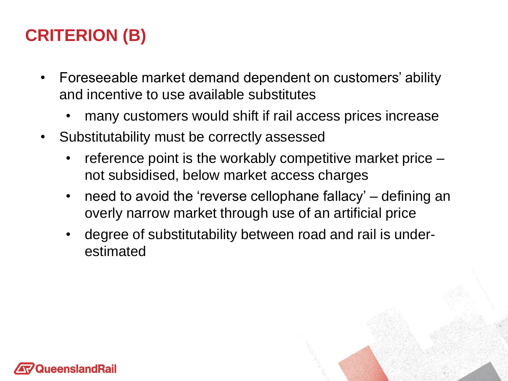# **CRITERION (B)**

- Foreseeable market demand dependent on customers' ability and incentive to use available substitutes
	- many customers would shift if rail access prices increase
- Substitutability must be correctly assessed
	- reference point is the workably competitive market price not subsidised, below market access charges
	- need to avoid the 'reverse cellophane fallacy' defining an overly narrow market through use of an artificial price
	- degree of substitutability between road and rail is underestimated

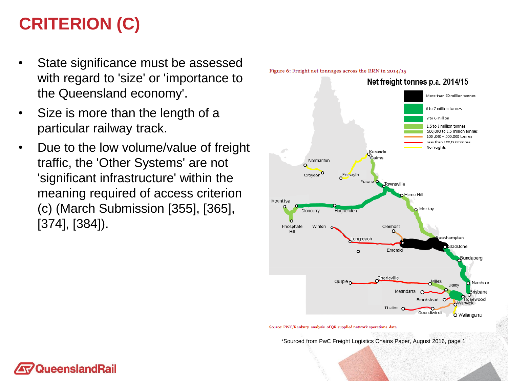# **CRITERION (C)**

- State significance must be assessed with regard to 'size' or 'importance to the Queensland economy'.
- Size is more than the length of a particular railway track.
- Due to the low volume/value of freight traffic, the 'Other Systems' are not 'significant infrastructure' within the meaning required of access criterion (c) (March Submission [355], [365], [374], [384]).



Figure 6: Freight net tonnages across the RRN in 2014/15

Source: PWC/Ranbury analysis of QR supplied network operations data

\*Sourced from PwC Freight Logistics Chains Paper, August 2016, page 1

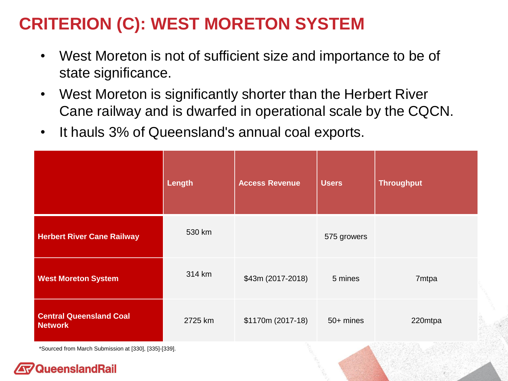# **CRITERION (C): WEST MORETON SYSTEM**

- West Moreton is not of sufficient size and importance to be of state significance.
- West Moreton is significantly shorter than the Herbert River Cane railway and is dwarfed in operational scale by the CQCN.
- It hauls 3% of Queensland's annual coal exports.

|                                                  | Length  | <b>Access Revenue</b> | <b>Users</b> | <b>Throughput</b> |
|--------------------------------------------------|---------|-----------------------|--------------|-------------------|
| <b>Herbert River Cane Railway</b>                | 530 km  |                       | 575 growers  |                   |
| <b>West Moreton System</b>                       | 314 km  | \$43m (2017-2018)     | 5 mines      | 7mtpa             |
| <b>Central Queensland Coal</b><br><b>Network</b> | 2725 km | \$1170m (2017-18)     | $50+$ mines  | 220mtpa           |

red from March Submission at [૩૩૦], [૩૩૦]-[૩૩૭]

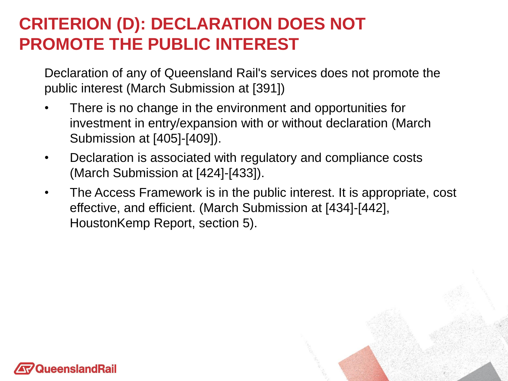# **CRITERION (D): DECLARATION DOES NOT PROMOTE THE PUBLIC INTEREST**

Declaration of any of Queensland Rail's services does not promote the public interest (March Submission at [391])

- There is no change in the environment and opportunities for investment in entry/expansion with or without declaration (March Submission at [405]-[409]).
- Declaration is associated with regulatory and compliance costs (March Submission at [424]-[433]).
- The Access Framework is in the public interest. It is appropriate, cost effective, and efficient. (March Submission at [434]-[442], HoustonKemp Report, section 5).